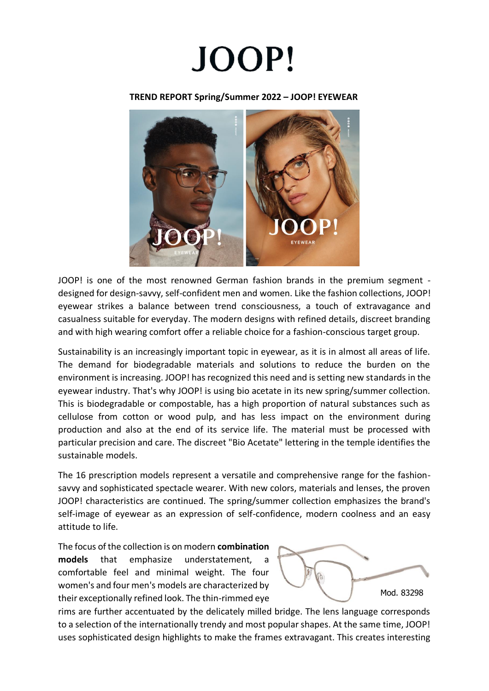

## **TREND REPORT Spring/Summer 2022 – JOOP! EYEWEAR**



JOOP! is one of the most renowned German fashion brands in the premium segment designed for design-savvy, self-confident men and women. Like the fashion collections, JOOP! eyewear strikes a balance between trend consciousness, a touch of extravagance and casualness suitable for everyday. The modern designs with refined details, discreet branding and with high wearing comfort offer a reliable choice for a fashion-conscious target group.

Sustainability is an increasingly important topic in eyewear, as it is in almost all areas of life. The demand for biodegradable materials and solutions to reduce the burden on the environment is increasing. JOOP! has recognized this need and is setting new standards in the eyewear industry. That's why JOOP! is using bio acetate in its new spring/summer collection. This is biodegradable or compostable, has a high proportion of natural substances such as cellulose from cotton or wood pulp, and has less impact on the environment during production and also at the end of its service life. The material must be processed with particular precision and care. The discreet "Bio Acetate" lettering in the temple identifies the sustainable models.

The 16 prescription models represent a versatile and comprehensive range for the fashionsavvy and sophisticated spectacle wearer. With new colors, materials and lenses, the proven JOOP! characteristics are continued. The spring/summer collection emphasizes the brand's self-image of eyewear as an expression of self-confidence, modern coolness and an easy attitude to life.

The focus of the collection is on modern **combination models** that emphasize understatement, a comfortable feel and minimal weight. The four women's and four men's models are characterized by their exceptionally refined look. The thin-rimmed eye



rims are further accentuated by the delicately milled bridge. The lens language corresponds to a selection of the internationally trendy and most popular shapes. At the same time, JOOP! uses sophisticated design highlights to make the frames extravagant. This creates interesting